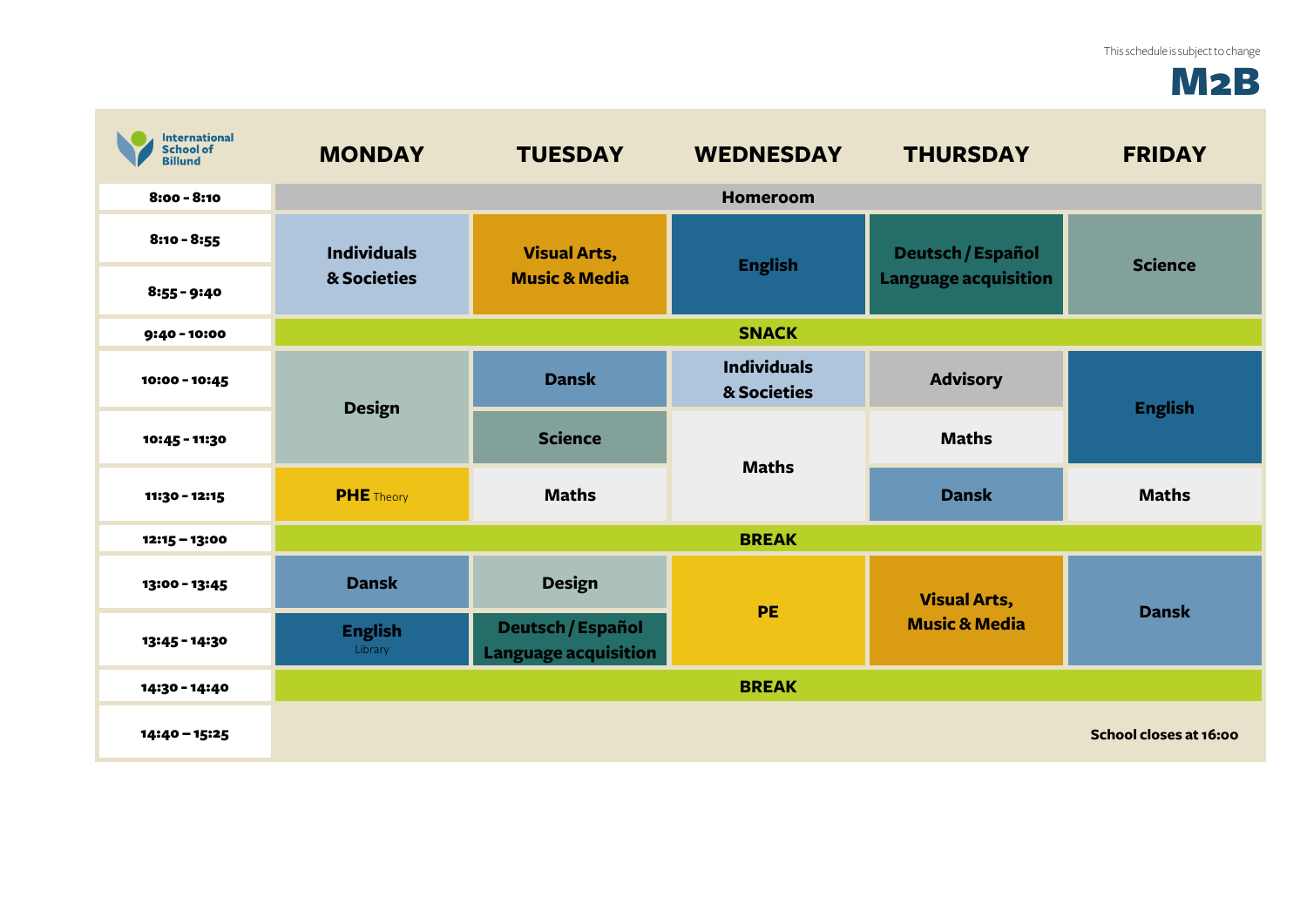## M2B

| <b>International</b><br>School of<br>Billund | <b>MONDAY</b>                     | <b>TUESDAY</b>                                   | <b>WEDNESDAY</b>                  | <b>THURSDAY</b>                                         | <b>FRIDAY</b>          |
|----------------------------------------------|-----------------------------------|--------------------------------------------------|-----------------------------------|---------------------------------------------------------|------------------------|
| $8:00 - 8:10$                                |                                   |                                                  | <b>Homeroom</b>                   |                                                         |                        |
| $8:10 - 8:55$                                | <b>Individuals</b><br>& Societies | <b>Visual Arts,</b><br><b>Music &amp; Media</b>  | <b>English</b>                    | <b>Deutsch / Español</b><br><b>Language acquisition</b> | <b>Science</b>         |
| $8:55 - 9:40$                                |                                   |                                                  |                                   |                                                         |                        |
| 9:40 - 10:00                                 |                                   |                                                  | <b>SNACK</b>                      |                                                         |                        |
| 10:00 - 10:45                                | <b>Design</b>                     | <b>Dansk</b>                                     | <b>Individuals</b><br>& Societies | <b>Advisory</b>                                         |                        |
| 10:45 - 11:30                                |                                   | <b>Science</b>                                   | <b>Maths</b>                      | <b>Maths</b>                                            | <b>English</b>         |
| 11:30 - 12:15                                | <b>PHE</b> Theory                 | <b>Maths</b>                                     |                                   | <b>Dansk</b>                                            | <b>Maths</b>           |
| $12:15 - 13:00$                              |                                   |                                                  | <b>BREAK</b>                      |                                                         |                        |
| 13:00 - 13:45                                | <b>Dansk</b>                      | <b>Design</b>                                    | PE                                | <b>Visual Arts,</b><br><b>Music &amp; Media</b>         | <b>Dansk</b>           |
| 13:45 - 14:30                                | <b>English</b><br>Library         | Deutsch / Español<br><b>Language acquisition</b> |                                   |                                                         |                        |
| 14:30 - 14:40                                |                                   |                                                  | <b>BREAK</b>                      |                                                         |                        |
| 14:40 - 15:25                                |                                   |                                                  |                                   |                                                         | School closes at 16:00 |